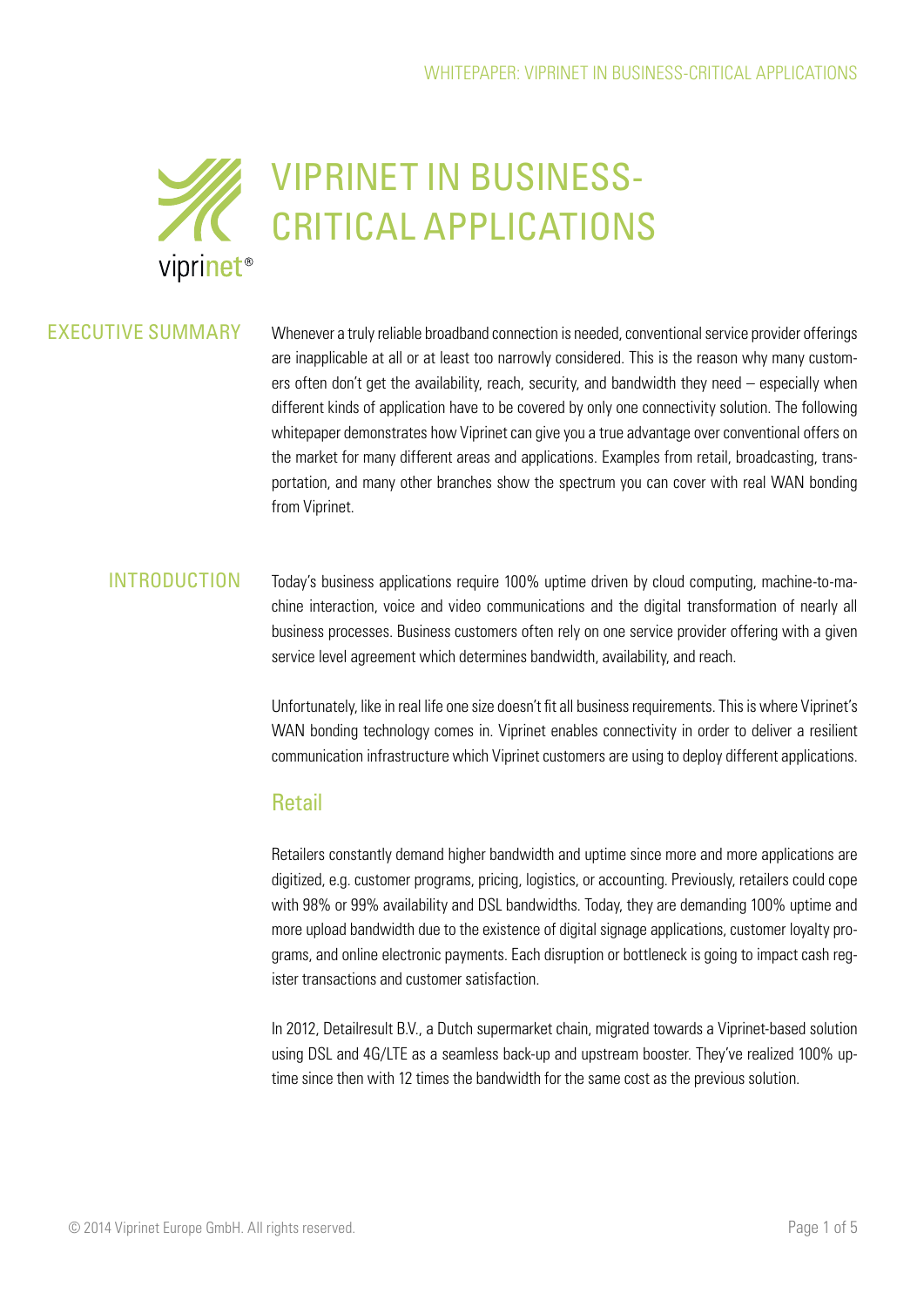

### EXECUTIVE SUMMARY

Whenever a truly reliable broadband connection is needed, conventional service provider offerings are inapplicable at all or at least too narrowly considered. This is the reason why many customers often don't get the availability, reach, security, and bandwidth they need – especially when different kinds of application have to be covered by only one connectivity solution. The following whitepaper demonstrates how Viprinet can give you a true advantage over conventional offers on the market for many different areas and applications. Examples from retail, broadcasting, transportation, and many other branches show the spectrum you can cover with real WAN bonding from Viprinet.

#### INTRODUCTION

Today's business applications require 100% uptime driven by cloud computing, machine-to-machine interaction, voice and video communications and the digital transformation of nearly all business processes. Business customers often rely on one service provider offering with a given service level agreement which determines bandwidth, availability, and reach.

Unfortunately, like in real life one size doesn't fit all business requirements. This is where Viprinet's WAN bonding technology comes in. Viprinet enables connectivity in order to deliver a resilient communication infrastructure which Viprinet customers are using to deploy different applications.

### **Retail**

Retailers constantly demand higher bandwidth and uptime since more and more applications are digitized, e.g. customer programs, pricing, logistics, or accounting. Previously, retailers could cope with 98% or 99% availability and DSL bandwidths. Today, they are demanding 100% uptime and more upload bandwidth due to the existence of digital signage applications, customer loyalty programs, and online electronic payments. Each disruption or bottleneck is going to impact cash register transactions and customer satisfaction.

In 2012, Detailresult B.V., a Dutch supermarket chain, migrated towards a Viprinet-based solution using DSL and 4G/LTE as a seamless back-up and upstream booster. They've realized 100% uptime since then with 12 times the bandwidth for the same cost as the previous solution.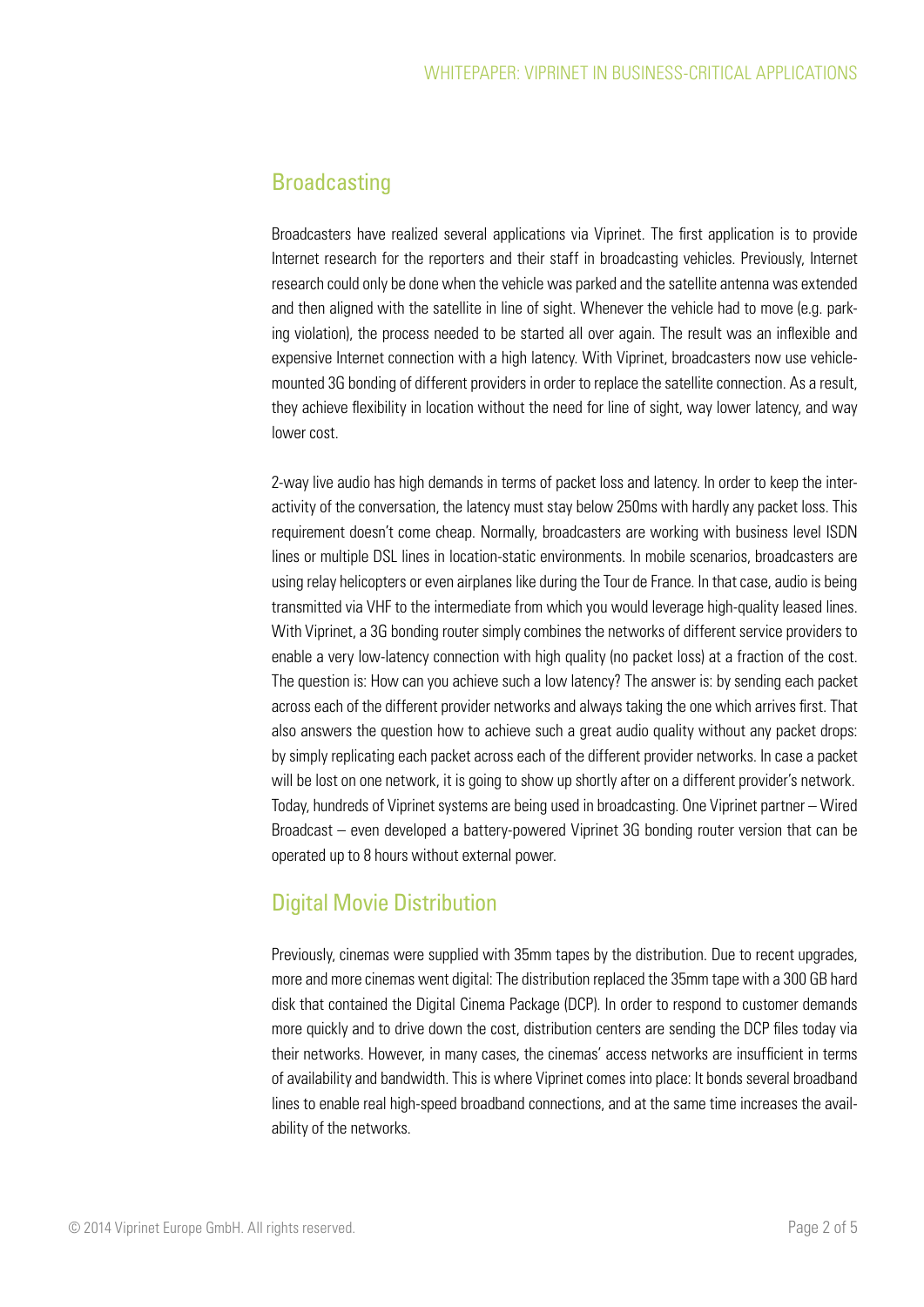## **Broadcasting**

Broadcasters have realized several applications via Viprinet. The first application is to provide Internet research for the reporters and their staff in broadcasting vehicles. Previously, Internet research could only be done when the vehicle was parked and the satellite antenna was extended and then aligned with the satellite in line of sight. Whenever the vehicle had to move (e.g. parking violation), the process needed to be started all over again. The result was an inflexible and expensive Internet connection with a high latency. With Viprinet, broadcasters now use vehiclemounted 3G bonding of different providers in order to replace the satellite connection. As a result, they achieve flexibility in location without the need for line of sight, way lower latency, and way lower cost.

2-way live audio has high demands in terms of packet loss and latency. In order to keep the interactivity of the conversation, the latency must stay below 250ms with hardly any packet loss. This requirement doesn't come cheap. Normally, broadcasters are working with business level ISDN lines or multiple DSL lines in location-static environments. In mobile scenarios, broadcasters are using relay helicopters or even airplanes like during the Tour de France. In that case, audio is being transmitted via VHF to the intermediate from which you would leverage high-quality leased lines. With Viprinet, a 3G bonding router simply combines the networks of different service providers to enable a very low-latency connection with high quality (no packet loss) at a fraction of the cost. The question is: How can you achieve such a low latency? The answer is: by sending each packet across each of the different provider networks and always taking the one which arrives first. That also answers the question how to achieve such a great audio quality without any packet drops: by simply replicating each packet across each of the different provider networks. In case a packet will be lost on one network, it is going to show up shortly after on a different provider's network. Today, hundreds of Viprinet systems are being used in broadcasting. One Viprinet partner – Wired Broadcast – even developed a battery-powered Viprinet 3G bonding router version that can be operated up to 8 hours without external power.

# Digital Movie Distribution

Previously, cinemas were supplied with 35mm tapes by the distribution. Due to recent upgrades, more and more cinemas went digital: The distribution replaced the 35mm tape with a 300 GB hard disk that contained the Digital Cinema Package (DCP). In order to respond to customer demands more quickly and to drive down the cost, distribution centers are sending the DCP files today via their networks. However, in many cases, the cinemas' access networks are insufficient in terms of availability and bandwidth. This is where Viprinet comes into place: It bonds several broadband lines to enable real high-speed broadband connections, and at the same time increases the availability of the networks.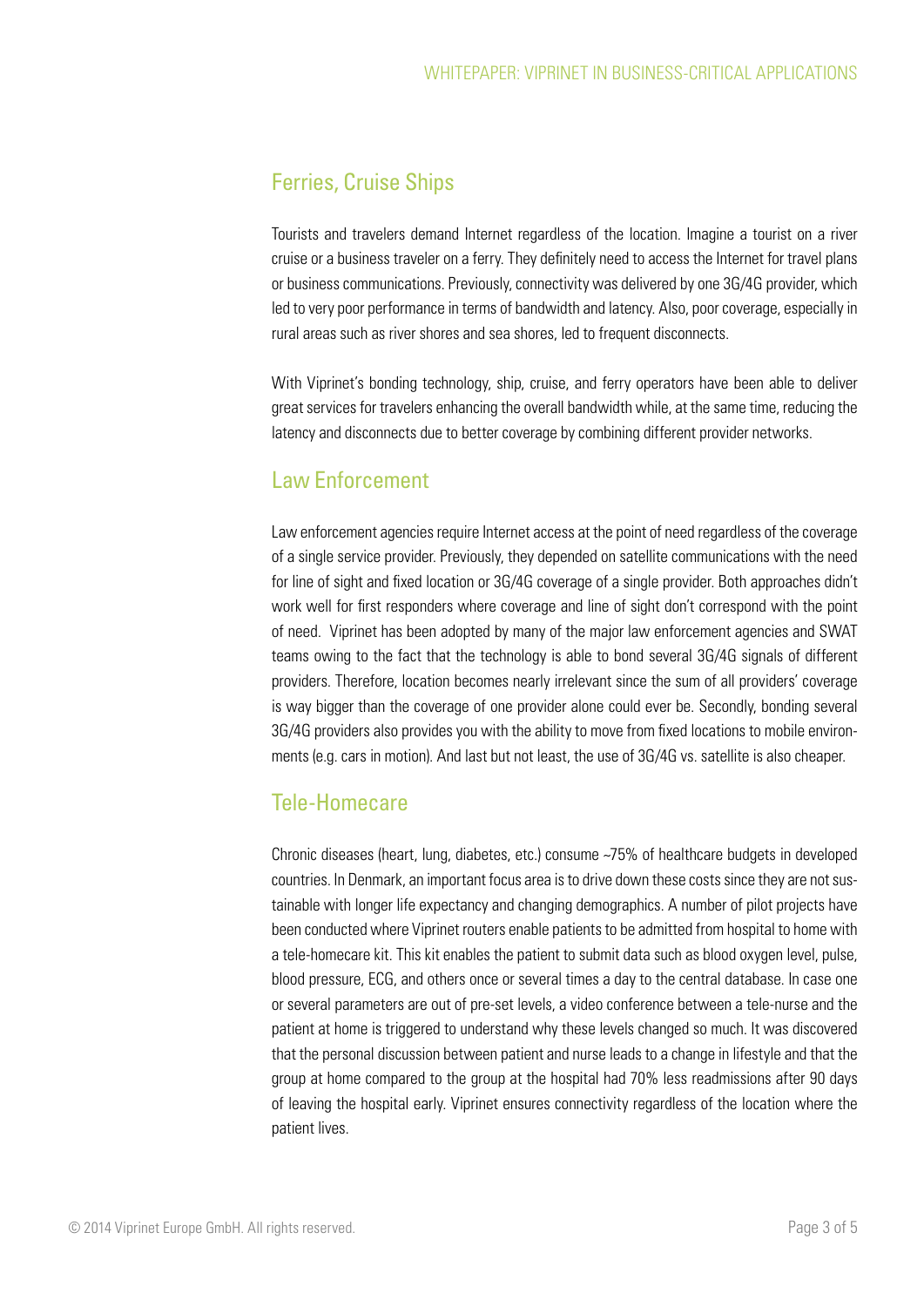### Ferries, Cruise Ships

Tourists and travelers demand Internet regardless of the location. Imagine a tourist on a river cruise or a business traveler on a ferry. They definitely need to access the Internet for travel plans or business communications. Previously, connectivity was delivered by one 3G/4G provider, which led to very poor performance in terms of bandwidth and latency. Also, poor coverage, especially in rural areas such as river shores and sea shores, led to frequent disconnects.

With Viprinet's bonding technology, ship, cruise, and ferry operators have been able to deliver great services for travelers enhancing the overall bandwidth while, at the same time, reducing the latency and disconnects due to better coverage by combining different provider networks.

### Law Enforcement

Law enforcement agencies require Internet access at the point of need regardless of the coverage of a single service provider. Previously, they depended on satellite communications with the need for line of sight and fixed location or 3G/4G coverage of a single provider. Both approaches didn't work well for first responders where coverage and line of sight don't correspond with the point of need. Viprinet has been adopted by many of the major law enforcement agencies and SWAT teams owing to the fact that the technology is able to bond several 3G/4G signals of different providers. Therefore, location becomes nearly irrelevant since the sum of all providers' coverage is way bigger than the coverage of one provider alone could ever be. Secondly, bonding several 3G/4G providers also provides you with the ability to move from fixed locations to mobile environments (e.g. cars in motion). And last but not least, the use of 3G/4G vs. satellite is also cheaper.

### Tele-Homecare

Chronic diseases (heart, lung, diabetes, etc.) consume ~75% of healthcare budgets in developed countries. In Denmark, an important focus area is to drive down these costs since they are not sustainable with longer life expectancy and changing demographics. A number of pilot projects have been conducted where Viprinet routers enable patients to be admitted from hospital to home with a tele-homecare kit. This kit enables the patient to submit data such as blood oxygen level, pulse, blood pressure, ECG, and others once or several times a day to the central database. In case one or several parameters are out of pre-set levels, a video conference between a tele-nurse and the patient at home is triggered to understand why these levels changed so much. It was discovered that the personal discussion between patient and nurse leads to a change in lifestyle and that the group at home compared to the group at the hospital had 70% less readmissions after 90 days of leaving the hospital early. Viprinet ensures connectivity regardless of the location where the patient lives.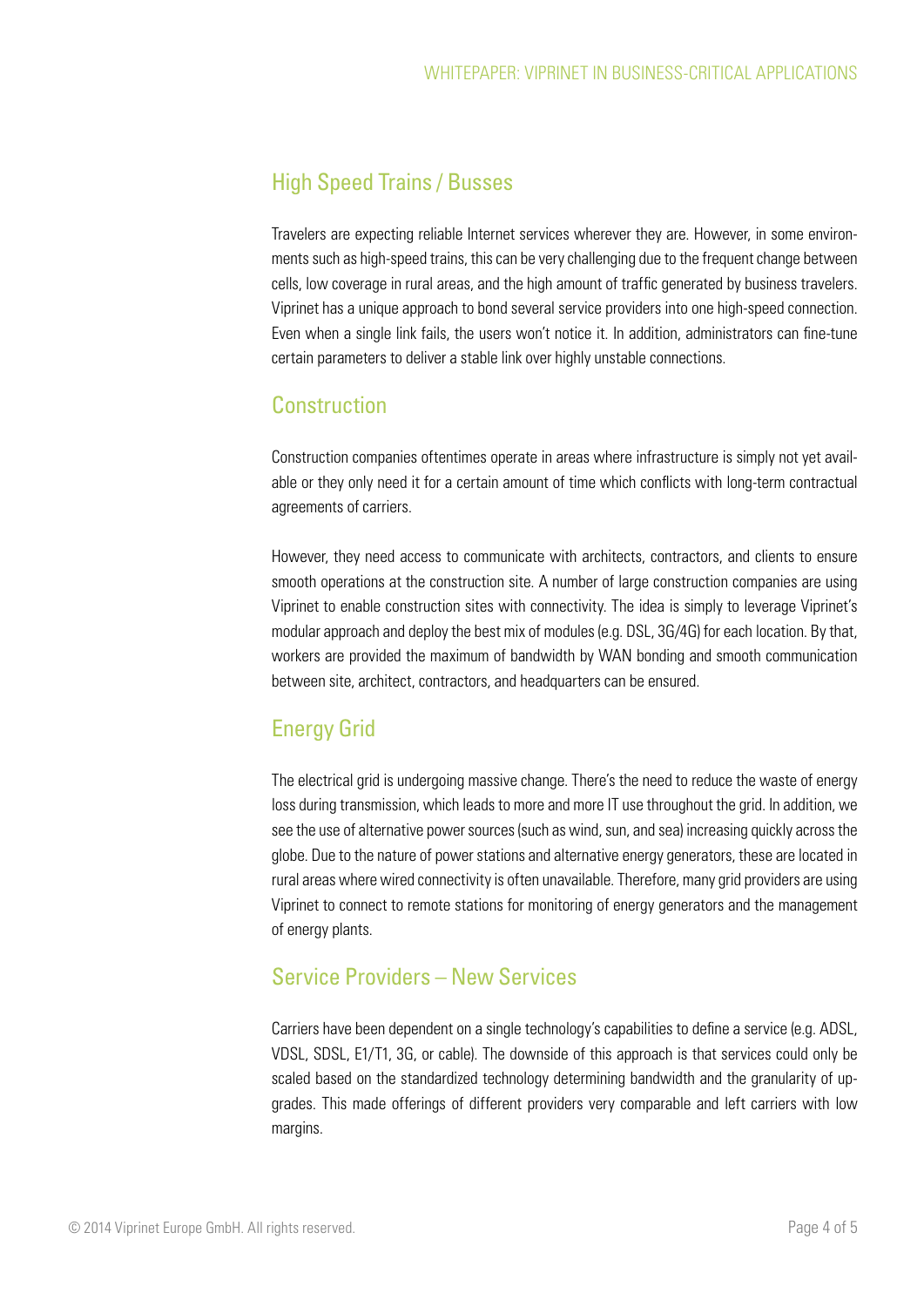# High Speed Trains / Busses

Travelers are expecting reliable Internet services wherever they are. However, in some environments such as high-speed trains, this can be very challenging due to the frequent change between cells, low coverage in rural areas, and the high amount of traffic generated by business travelers. Viprinet has a unique approach to bond several service providers into one high-speed connection. Even when a single link fails, the users won't notice it. In addition, administrators can fine-tune certain parameters to deliver a stable link over highly unstable connections.

## **Construction**

Construction companies oftentimes operate in areas where infrastructure is simply not yet available or they only need it for a certain amount of time which conflicts with long-term contractual agreements of carriers.

However, they need access to communicate with architects, contractors, and clients to ensure smooth operations at the construction site. A number of large construction companies are using Viprinet to enable construction sites with connectivity. The idea is simply to leverage Viprinet's modular approach and deploy the best mix of modules (e.g. DSL, 3G/4G) for each location. By that, workers are provided the maximum of bandwidth by WAN bonding and smooth communication between site, architect, contractors, and headquarters can be ensured.

# Energy Grid

The electrical grid is undergoing massive change. There's the need to reduce the waste of energy loss during transmission, which leads to more and more IT use throughout the grid. In addition, we see the use of alternative power sources (such as wind, sun, and sea) increasing quickly across the globe. Due to the nature of power stations and alternative energy generators, these are located in rural areas where wired connectivity is often unavailable. Therefore, many grid providers are using Viprinet to connect to remote stations for monitoring of energy generators and the management of energy plants.

### Service Providers – New Services

Carriers have been dependent on a single technology's capabilities to define a service (e.g. ADSL, VDSL, SDSL, E1/T1, 3G, or cable). The downside of this approach is that services could only be scaled based on the standardized technology determining bandwidth and the granularity of upgrades. This made offerings of different providers very comparable and left carriers with low margins.